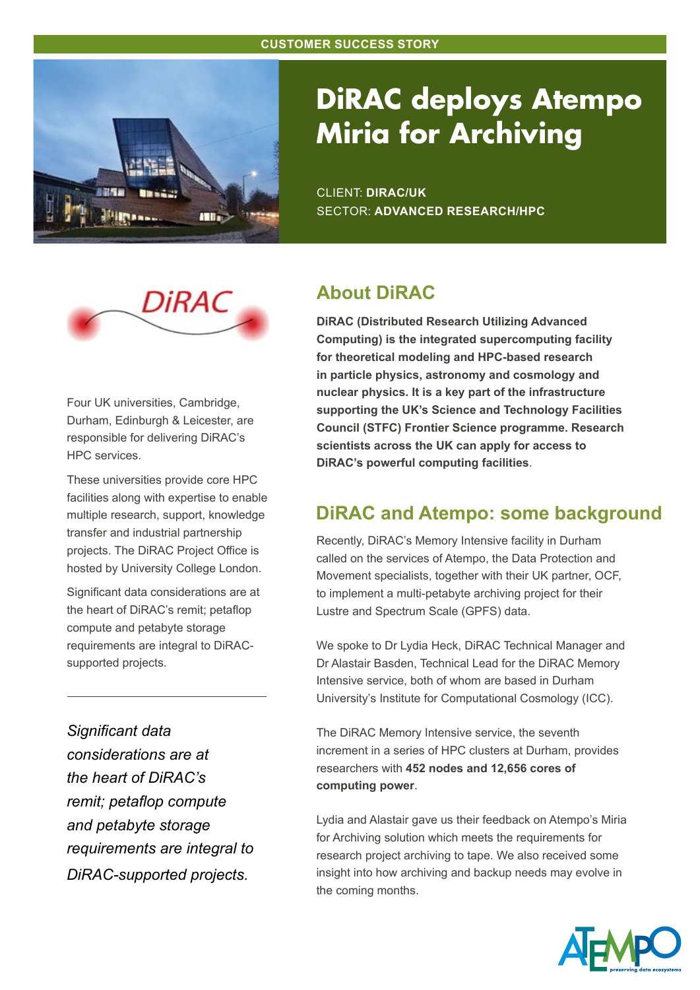

# **DiRAC deploys Atempo Miria for Archiving**

CLIENT: **DIRAC/UK** SECTOR: **ADVANCED RESEARCH/HPC**



Four UK universities, Cambridge, Durham, Edinburgh & Leicester, are responsible for delivering DiRAC's HPC services.

These universities provide core HPC facilities along with expertise to enable multiple research, support, knowledge transfer and industrial partnership projects. The DiRAC Project Office is hosted by University College London.

Significant data considerations are at the heart of DiRAC's remit; petaflop compute and petabyte storage requirements are integral to DiRACsupported projects.

*Significant data considerations are at the heart of DiRAC's remit; petaflop compute and petabyte storage requirements are integral to DiRAC-supported projects.*

## **About DiRAC**

**DiRAC (Distributed Research Utilizing Advanced Computing) is the integrated supercomputing facility for theoretical modeling and HPC-based research in particle physics, astronomy and cosmology and nuclear physics. It is a key part of the infrastructure supporting the UK's Science and Technology Facilities Council (STFC) Frontier Science programme. Research scientists across the UK can apply for access to DiRAC's powerful computing facilities**.

## **DiRAC and Atempo: some background**

Recently, DiRAC's Memory Intensive facility in Durham called on the services of Atempo, the Data Protection and Movement specialists, together with their UK partner, OCF, to implement a multi-petabyte archiving project for their Lustre and Spectrum Scale (GPFS) data.

We spoke to Dr Lydia Heck, DiRAC Technical Manager and Dr Alastair Basden, Technical Lead for the DiRAC Memory Intensive service, both of whom are based in Durham University's Institute for Computational Cosmology (ICC).

The DiRAC Memory Intensive service, the seventh increment in a series of HPC clusters at Durham, provides researchers with **452 nodes and 12,656 cores of computing power**.

Lydia and Alastair gave us their feedback on Atempo's Miria for Archiving solution which meets the requirements for research project archiving to tape. We also received some insight into how archiving and backup needs may evolve in the coming months.

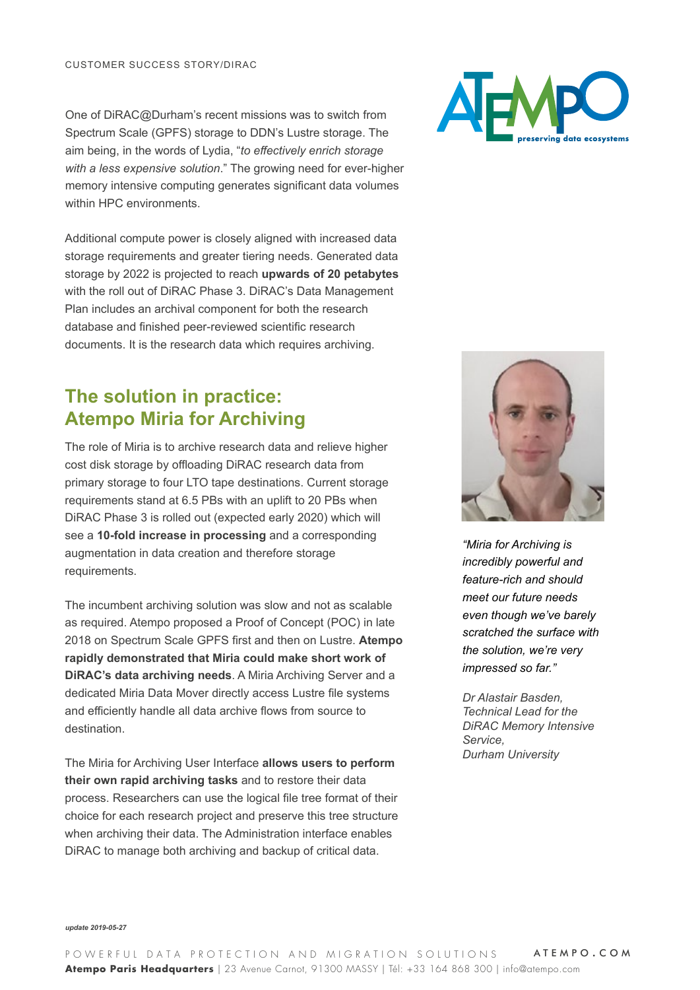One of DiRAC@Durham's recent missions was to switch from Spectrum Scale (GPFS) storage to DDN's Lustre storage. The aim being, in the words of Lydia, "*to effectively enrich storage with a less expensive solution*." The growing need for ever-higher memory intensive computing generates significant data volumes within HPC environments.

Additional compute power is closely aligned with increased data storage requirements and greater tiering needs. Generated data storage by 2022 is projected to reach **upwards of 20 petabytes** with the roll out of DiRAC Phase 3. DiRAC's Data Management Plan includes an archival component for both the research database and finished peer-reviewed scientific research documents. It is the research data which requires archiving.

### **The solution in practice: Atempo Miria for Archiving**

The role of Miria is to archive research data and relieve higher cost disk storage by offloading DiRAC research data from primary storage to four LTO tape destinations. Current storage requirements stand at 6.5 PBs with an uplift to 20 PBs when DiRAC Phase 3 is rolled out (expected early 2020) which will see a **10-fold increase in processing** and a corresponding augmentation in data creation and therefore storage requirements.

The incumbent archiving solution was slow and not as scalable as required. Atempo proposed a Proof of Concept (POC) in late 2018 on Spectrum Scale GPFS first and then on Lustre. **Atempo rapidly demonstrated that Miria could make short work of DiRAC's data archiving needs**. A Miria Archiving Server and a dedicated Miria Data Mover directly access Lustre file systems and efficiently handle all data archive flows from source to destination.

The Miria for Archiving User Interface **allows users to perform their own rapid archiving tasks** and to restore their data process. Researchers can use the logical file tree format of their choice for each research project and preserve this tree structure when archiving their data. The Administration interface enables DiRAC to manage both archiving and backup of critical data.





*"Miria for Archiving is incredibly powerful and feature-rich and should meet our future needs even though we've barely scratched the surface with the solution, we're very impressed so far."* 

*Dr Alastair Basden, Technical Lead for the DiRAC Memory Intensive Service, Durham University*

*update 2019-05-27*